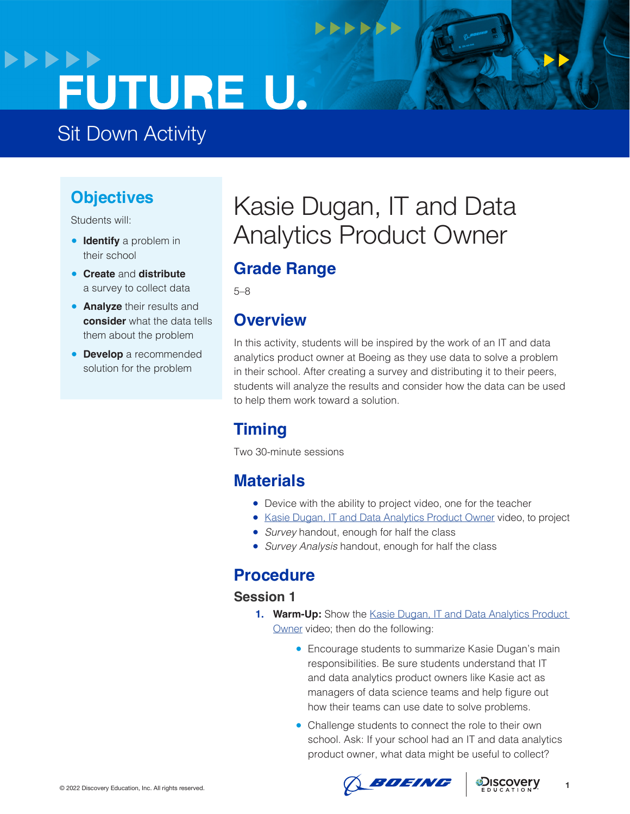## **>>>>>> FUTURE U.**

## Sit Down Activity

### **Objectives**

Students will:

- **Identify** a problem in their school
- **Create** and **distribute**  a survey to collect data
- **Analyze** their results and **consider** what the data tells them about the problem
- **Develop** a recommended solution for the problem

## Kasie Dugan, IT and Data Analytics Product Owner

**NNNNNN** 

## **Grade Range**

5–8

### **Overview**

In this activity, students will be inspired by the work of an IT and data analytics product owner at Boeing as they use data to solve a problem in their school. After creating a survey and distributing it to their peers, students will analyze the results and consider how the data can be used to help them work toward a solution.

## **Timing**

Two 30-minute sessions

### **Materials**

- Device with the ability to project video, one for the teacher
- [Kasie Dugan, IT and Data Analytics Product Owner](https://www.boeingfutureu.com/virtual-experiences/STEM-career-videos/kasie-data) video, to project
- *Survey* handout, enough for half the class
- *Survey Analysis* handout, enough for half the class

### **Procedure**

### **Session 1**

- 1. **Warm-Up:** Show the Kasie Dugan, IT and Data Analytics Product [Owner](https://www.boeingfutureu.com/virtual-experiences/STEM-career-videos/kasie-data) video; then do the following:
	- Encourage students to summarize Kasie Dugan's main responsibilities. Be sure students understand that IT and data analytics product owners like Kasie act as managers of data science teams and help figure out how their teams can use date to solve problems.
	- Challenge students to connect the role to their own school. Ask: If your school had an IT and data analytics product owner, what data might be useful to collect?



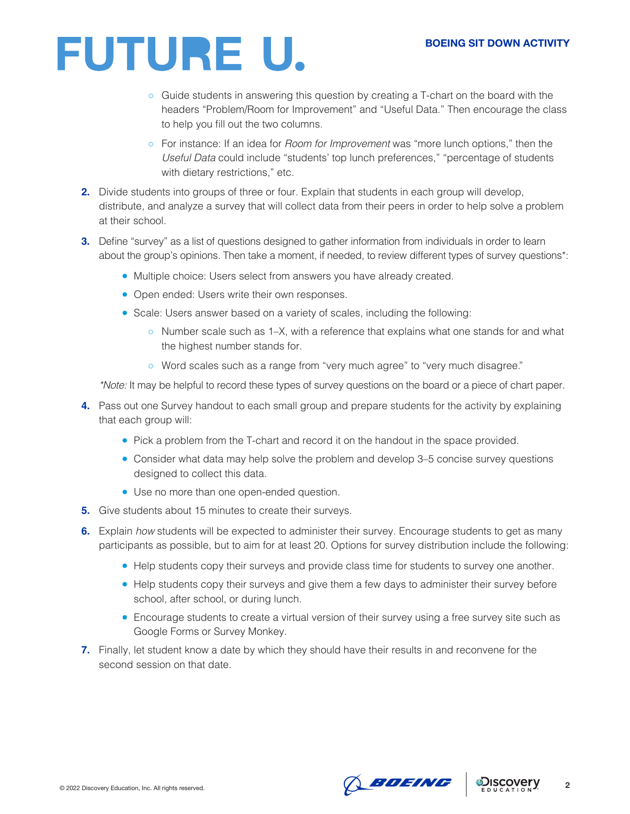# FUTURE U.

- Guide students in answering this question by creating a T-chart on the board with the headers "Problem/Room for Improvement" and "Useful Data." Then encourage the class to help you fill out the two columns.
- For instance: If an idea for *Room for Improvement* was "more lunch options," then the *Useful Data* could include "students' top lunch preferences," "percentage of students with dietary restrictions," etc.
- **2.** Divide students into groups of three or four. Explain that students in each group will develop, distribute, and analyze a survey that will collect data from their peers in order to help solve a problem at their school.
- **3.** Define "survey" as a list of questions designed to gather information from individuals in order to learn about the group's opinions. Then take a moment, if needed, to review different types of survey questions\*:
	- Multiple choice: Users select from answers you have already created.
	- Open ended: Users write their own responses.
	- Scale: Users answer based on a variety of scales, including the following:
		- Number scale such as 1–X, with a reference that explains what one stands for and what the highest number stands for.
		- Word scales such as a range from "very much agree" to "very much disagree."

*\*Note:* It may be helpful to record these types of survey questions on the board or a piece of chart paper.

- **4.** Pass out one Survey handout to each small group and prepare students for the activity by explaining that each group will:
	- Pick a problem from the T-chart and record it on the handout in the space provided.
	- Consider what data may help solve the problem and develop 3–5 concise survey questions designed to collect this data.
	- Use no more than one open-ended question.
- **5.** Give students about 15 minutes to create their surveys.
- **6.** Explain *how* students will be expected to administer their survey. Encourage students to get as many participants as possible, but to aim for at least 20. Options for survey distribution include the following:
	- Help students copy their surveys and provide class time for students to survey one another.
	- Help students copy their surveys and give them a few days to administer their survey before school, after school, or during lunch.
	- Encourage students to create a virtual version of their survey using a free survey site such as Google Forms or Survey Monkey.
- **7.** Finally, let student know a date by which they should have their results in and reconvene for the second session on that date.



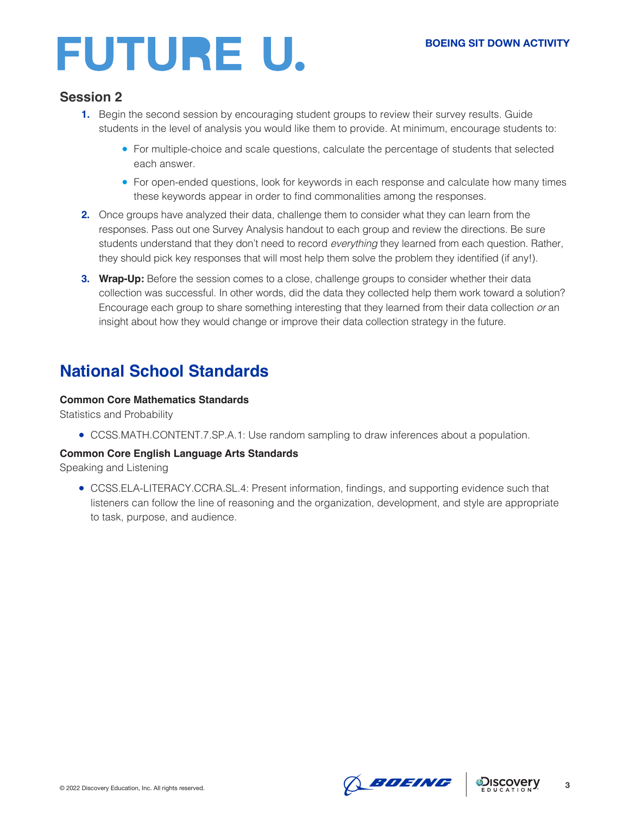# FUTURE U.

### **Session 2**

- **1.** Begin the second session by encouraging student groups to review their survey results. Guide students in the level of analysis you would like them to provide. At minimum, encourage students to:
	- For multiple-choice and scale questions, calculate the percentage of students that selected each answer.
	- For open-ended questions, look for keywords in each response and calculate how many times these keywords appear in order to find commonalities among the responses.
- **2.** Once groups have analyzed their data, challenge them to consider what they can learn from the responses. Pass out one Survey Analysis handout to each group and review the directions. Be sure students understand that they don't need to record *everything* they learned from each question. Rather, they should pick key responses that will most help them solve the problem they identified (if any!).
- **3. Wrap-Up:** Before the session comes to a close, challenge groups to consider whether their data collection was successful. In other words, did the data they collected help them work toward a solution? Encourage each group to share something interesting that they learned from their data collection *or* an insight about how they would change or improve their data collection strategy in the future.

### **National School Standards**

#### **Common Core Mathematics Standards**

Statistics and Probability

● CCSS.MATH.CONTENT.7.SP.A.1: Use random sampling to draw inferences about a population.

#### **Common Core English Language Arts Standards**

Speaking and Listening

● CCSS.ELA-LITERACY.CCRA.SL.4: Present information, findings, and supporting evidence such that listeners can follow the line of reasoning and the organization, development, and style are appropriate to task, purpose, and audience.



**3**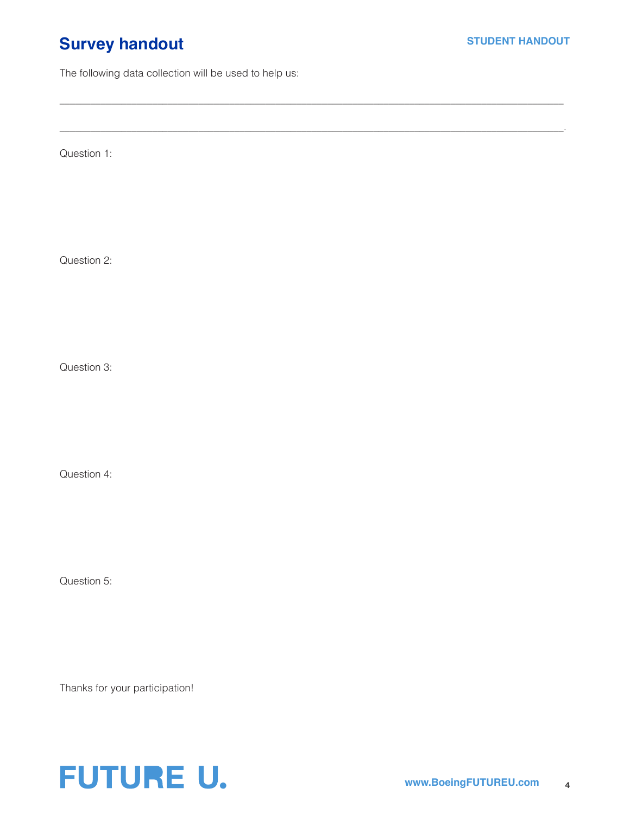### **Survey handout**

The following data collection will be used to help us:

 $\_$  ,  $\_$  ,  $\_$  ,  $\_$  ,  $\_$  ,  $\_$  ,  $\_$  ,  $\_$  ,  $\_$  ,  $\_$  ,  $\_$  ,  $\_$  ,  $\_$  ,  $\_$  ,  $\_$  ,  $\_$  ,  $\_$  ,  $\_$  ,  $\_$  ,  $\_$  ,  $\_$  ,  $\_$  ,  $\_$  ,  $\_$  ,  $\_$  ,  $\_$  ,  $\_$  ,  $\_$  ,  $\_$  ,  $\_$  ,  $\_$  ,  $\_$  ,  $\_$  ,  $\_$  ,  $\_$  ,  $\_$  ,  $\_$  ,

\_\_\_\_\_\_\_\_\_\_\_\_\_\_\_\_\_\_\_\_\_\_\_\_\_\_\_\_\_\_\_\_\_\_\_\_\_\_\_\_\_\_\_\_\_\_\_\_\_\_\_\_\_\_\_\_\_\_\_\_\_\_\_\_\_\_\_\_\_\_\_\_\_\_\_\_\_\_\_\_\_\_\_\_\_\_\_\_\_\_\_\_\_\_\_\_\_\_.

Question 1:

Question 2:

Question 3:

Question 4:

Question 5:

Thanks for your participation!